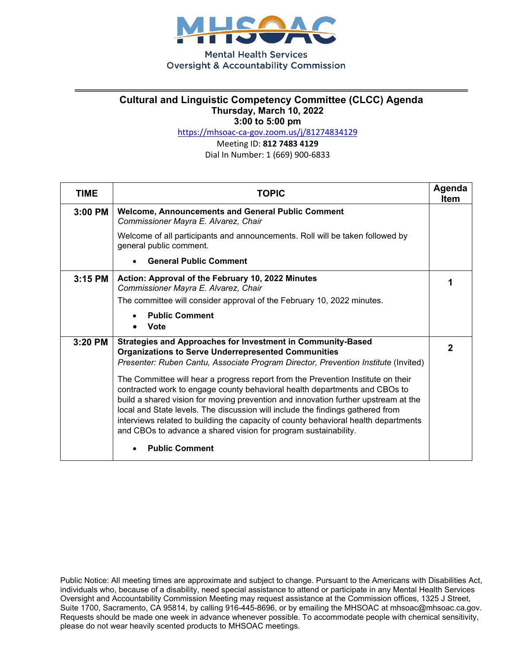

**Mental Health Services Oversight & Accountability Commission** 

## **Cultural and Linguistic Competency Committee (CLCC) Agenda Thursday, March 10, 2022 3:00 to 5:00 pm**

<https://mhsoac-ca-gov.zoom.us/j/81274834129>

Meeting ID: **812 7483 4129**

Dial In Number: 1 (669) 900-6833

| <b>TIME</b> | <b>TOPIC</b>                                                                                                                                                                                                                                                                                                                                                                                                                                                                                     | Agenda<br>Item |
|-------------|--------------------------------------------------------------------------------------------------------------------------------------------------------------------------------------------------------------------------------------------------------------------------------------------------------------------------------------------------------------------------------------------------------------------------------------------------------------------------------------------------|----------------|
| $3:00$ PM   | <b>Welcome, Announcements and General Public Comment</b><br>Commissioner Mayra E. Alvarez, Chair                                                                                                                                                                                                                                                                                                                                                                                                 |                |
|             | Welcome of all participants and announcements. Roll will be taken followed by<br>general public comment.                                                                                                                                                                                                                                                                                                                                                                                         |                |
|             | <b>General Public Comment</b>                                                                                                                                                                                                                                                                                                                                                                                                                                                                    |                |
| $3:15$ PM   | Action: Approval of the February 10, 2022 Minutes<br>Commissioner Mayra E. Alvarez, Chair                                                                                                                                                                                                                                                                                                                                                                                                        | 1              |
|             | The committee will consider approval of the February 10, 2022 minutes.                                                                                                                                                                                                                                                                                                                                                                                                                           |                |
|             | <b>Public Comment</b><br><b>Vote</b>                                                                                                                                                                                                                                                                                                                                                                                                                                                             |                |
| 3:20 PM     | <b>Strategies and Approaches for Investment in Community-Based</b><br><b>Organizations to Serve Underrepresented Communities</b><br>Presenter: Ruben Cantu, Associate Program Director, Prevention Institute (Invited)                                                                                                                                                                                                                                                                           | $\mathbf{2}$   |
|             | The Committee will hear a progress report from the Prevention Institute on their<br>contracted work to engage county behavioral health departments and CBOs to<br>build a shared vision for moving prevention and innovation further upstream at the<br>local and State levels. The discussion will include the findings gathered from<br>interviews related to building the capacity of county behavioral health departments<br>and CBOs to advance a shared vision for program sustainability. |                |
|             | <b>Public Comment</b>                                                                                                                                                                                                                                                                                                                                                                                                                                                                            |                |

Public Notice: All meeting times are approximate and subject to change. Pursuant to the Americans with Disabilities Act, individuals who, because of a disability, need special assistance to attend or participate in any Mental Health Services Oversight and Accountability Commission Meeting may request assistance at the Commission offices, 1325 J Street, Suite 1700, Sacramento, CA 95814, by calling 916-445-8696, or by emailing the MHSOAC at mhsoac@mhsoac.ca.gov. Requests should be made one week in advance whenever possible. To accommodate people with chemical sensitivity, please do not wear heavily scented products to MHSOAC meetings.